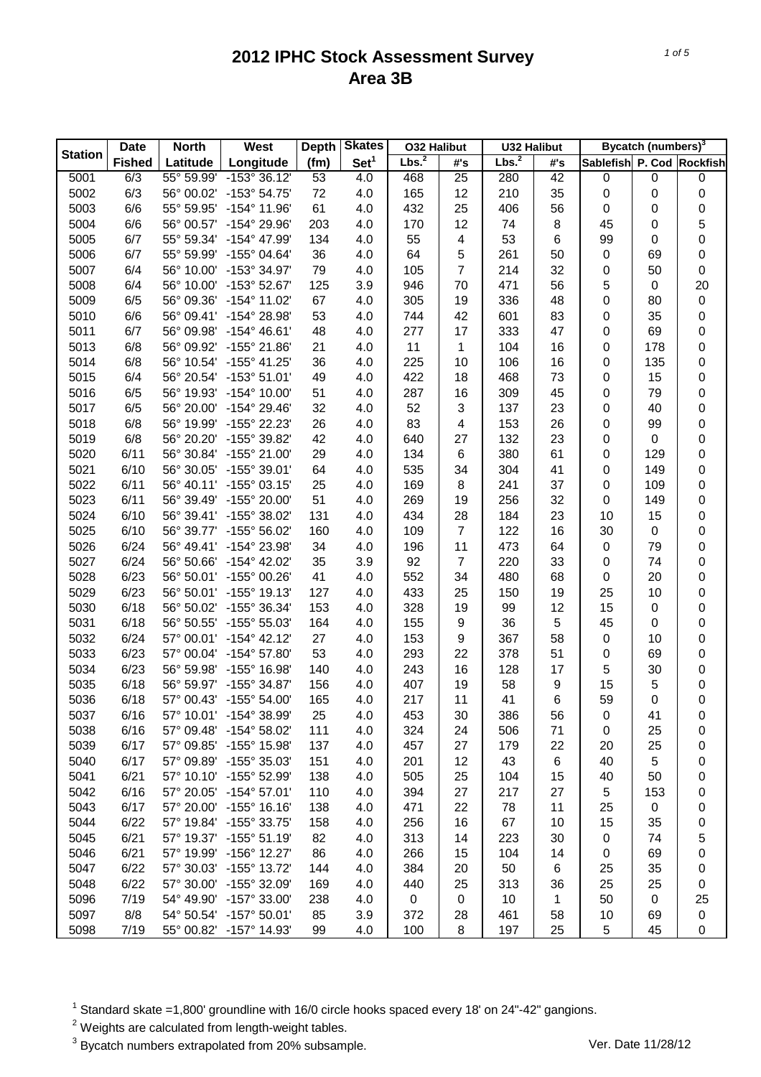|                | <b>Date</b>   | <b>North</b>        | West                    | <b>Depth</b> | <b>Skates</b>    | <b>032 Halibut</b> |                         | <b>U32 Halibut</b> |     |                           | Bycatch (numbers) <sup>3</sup> |                  |
|----------------|---------------|---------------------|-------------------------|--------------|------------------|--------------------|-------------------------|--------------------|-----|---------------------------|--------------------------------|------------------|
| <b>Station</b> | <b>Fished</b> | Latitude            | Longitude               | (fm)         | Set <sup>1</sup> | Lbs. <sup>2</sup>  | #'s                     | Lbs. <sup>2</sup>  | #'s | Sablefish P. Cod Rockfish |                                |                  |
| 5001           | 6/3           | $55^{\circ} 59.99'$ | $-153^{\circ}36.12'$    | 53           | 4.0              | 468                | 25                      | 280                | 42  | $\pmb{0}$                 | 0                              | 0                |
| 5002           | 6/3           | 56° 00.02'          | $-153^{\circ}54.75'$    | 72           | 4.0              | 165                | 12                      | 210                | 35  | $\pmb{0}$                 | 0                              | 0                |
| 5003           | 6/6           | 55° 59.95'          | $-154^{\circ}$ 11.96'   | 61           | 4.0              | 432                | 25                      | 406                | 56  | 0                         | 0                              | 0                |
| 5004           | 6/6           | 56° 00.57'          | -154° 29.96'            | 203          | 4.0              | 170                | 12                      | 74                 | 8   | 45                        | 0                              | 5                |
| 5005           | 6/7           | 55° 59.34'          | -154° 47.99'            | 134          | 4.0              | 55                 | $\overline{\mathbf{4}}$ | 53                 | 6   | 99                        | 0                              | 0                |
| 5006           | 6/7           | 55° 59.99'          | $-155^{\circ}$ 04.64'   | 36           | 4.0              | 64                 | 5                       | 261                | 50  | $\pmb{0}$                 | 69                             | 0                |
| 5007           | 6/4           | 56° 10.00'          | -153° 34.97'            | 79           | 4.0              | 105                | $\overline{7}$          | 214                | 32  | 0                         | 50                             | $\pmb{0}$        |
| 5008           | 6/4           | 56° 10.00'          | $-153^{\circ}52.67'$    | 125          | 3.9              | 946                | 70                      | 471                | 56  | 5                         | $\pmb{0}$                      | 20               |
| 5009           | 6/5           | 56° 09.36'          | $-154^{\circ}$ 11.02'   | 67           | 4.0              | 305                | 19                      | 336                | 48  | 0                         | 80                             | 0                |
| 5010           | 6/6           | 56° 09.41'          | -154° 28.98'            | 53           | 4.0              | 744                | 42                      | 601                | 83  | 0                         | 35                             | 0                |
| 5011           | 6/7           | 56° 09.98'          | $-154^{\circ}$ 46.61'   | 48           | 4.0              | 277                | 17                      | 333                | 47  | 0                         | 69                             | 0                |
| 5013           | 6/8           | 56° 09.92'          | -155° 21.86'            | 21           | 4.0              | 11                 | 1                       | 104                | 16  | 0                         | 178                            | 0                |
| 5014           | 6/8           | 56° 10.54'          | $-155^{\circ}$ 41.25'   | 36           | 4.0              | 225                | 10                      | 106                | 16  | 0                         | 135                            | 0                |
| 5015           | 6/4           | 56° 20.54'          | $-153^{\circ} 51.01'$   | 49           | 4.0              | 422                | 18                      | 468                | 73  | 0                         | 15                             | 0                |
| 5016           | 6/5           | 56° 19.93'          | $-154^{\circ}$ 10.00'   | 51           | 4.0              | 287                | 16                      | 309                | 45  | 0                         | 79                             | 0                |
| 5017           | 6/5           | 56° 20.00'          | $-154^{\circ} 29.46'$   | 32           | 4.0              | 52                 | 3                       | 137                | 23  | 0                         | 40                             | 0                |
| 5018           | 6/8           | 56° 19.99'          | -155° 22.23'            | 26           | 4.0              | 83                 | 4                       | 153                | 26  | 0                         | 99                             | 0                |
| 5019           | 6/8           | 56° 20.20'          | -155° 39.82'            | 42           | 4.0              | 640                | 27                      | 132                | 23  | 0                         | $\pmb{0}$                      | 0                |
| 5020           | 6/11          | 56° 30.84'          | -155° 21.00'            | 29           | 4.0              | 134                | 6                       | 380                | 61  | 0                         | 129                            | 0                |
| 5021           | 6/10          | 56° 30.05'          | $-155^{\circ}$ 39.01'   | 64           | 4.0              | 535                | 34                      | 304                | 41  | 0                         | 149                            | 0                |
| 5022           | 6/11          | 56° 40.11'          | $-155^{\circ}$ 03.15'   | 25           | 4.0              | 169                | 8                       | 241                | 37  | 0                         | 109                            | 0                |
| 5023           | 6/11          | 56° 39.49'          | -155° 20.00'            | 51           | 4.0              | 269                | 19                      | 256                | 32  | 0                         | 149                            | 0                |
| 5024           | 6/10          | 56° 39.41'          | -155° 38.02'            | 131          | 4.0              | 434                | 28                      | 184                | 23  | 10                        | 15                             | 0                |
| 5025           | 6/10          | 56° 39.77'          | $-155^{\circ}56.02'$    | 160          | 4.0              | 109                | $\overline{7}$          | 122                | 16  | 30                        | 0                              | 0                |
| 5026           | 6/24          | 56° 49.41'          | -154° 23.98'            | 34           | 4.0              | 196                | 11                      | 473                | 64  | $\pmb{0}$                 | 79                             | 0                |
| 5027           | 6/24          | 56° 50.66'          | $-154^{\circ}$ 42.02'   | 35           | 3.9              | 92                 | $\overline{7}$          | 220                | 33  | 0                         | 74                             | 0                |
| 5028           | 6/23          | 56° 50.01'          | $-155^{\circ}$ 00.26'   | 41           | 4.0              | 552                | 34                      | 480                | 68  | 0                         | 20                             | 0                |
| 5029           | 6/23          | 56° 50.01'          | $-155^{\circ}$ 19.13'   | 127          | 4.0              | 433                | 25                      | 150                | 19  | 25                        | 10                             | 0                |
| 5030           | 6/18          | 56° 50.02'          | -155° 36.34'            | 153          | 4.0              | 328                | 19                      | 99                 | 12  | 15                        | 0                              | 0                |
| 5031           | 6/18          | 56° 50.55'          | $-155^{\circ} 55.03'$   | 164          | 4.0              | 155                | $\boldsymbol{9}$        | 36                 | 5   | 45                        | 0                              | 0                |
| 5032           | 6/24          | 57° 00.01'          | $-154^{\circ}$ 42.12'   | 27           | 4.0              | 153                | 9                       | 367                | 58  | $\pmb{0}$                 | 10                             | 0                |
| 5033           | 6/23          | 57° 00.04'          | $-154^{\circ}$ 57.80'   | 53           | 4.0              | 293                | 22                      | 378                | 51  | 0                         | 69                             | 0                |
| 5034           | 6/23          | 56° 59.98'          | $-155^{\circ}$ 16.98'   | 140          | 4.0              | 243                | 16                      | 128                | 17  | 5                         | 30                             | 0                |
| 5035           | 6/18          | 56° 59.97'          | -155° 34.87'            | 156          | 4.0              | 407                | 19                      | 58                 | 9   | 15                        | 5                              |                  |
| 5036           | 6/18          |                     | 57° 00.43' -155° 54.00' | 165          | 4.0              |                    | 11                      | 41                 | 6   | 59                        | 0                              | 0<br>$\mathsf 0$ |
|                |               |                     |                         |              |                  | 217                |                         |                    |     |                           |                                |                  |
| 5037           | 6/16          | 57° 10.01'          | $-154^{\circ}$ 38.99'   | 25           | 4.0              | 453                | 30                      | 386                | 56  | 0                         | 41                             | 0                |
| 5038           | 6/16          | 57° 09.48'          | -154° 58.02'            | 111          | 4.0              | 324                | 24                      | 506                | 71  | 0                         | 25                             | 0                |
| 5039           | 6/17          | 57° 09.85'          | $-155^{\circ}$ 15.98'   | 137          | 4.0              | 457                | 27                      | 179                | 22  | 20                        | 25                             | 0                |
| 5040           | 6/17          | 57° 09.89'          | $-155^{\circ}$ 35.03'   | 151          | 4.0              | 201                | 12                      | 43                 | 6   | 40                        | 5                              | 0                |
| 5041           | 6/21          | 57° 10.10'          | -155° 52.99'            | 138          | 4.0              | 505                | 25                      | 104                | 15  | 40                        | 50                             | 0                |
| 5042           | 6/16          | 57° 20.05'          | $-154^{\circ}$ 57.01'   | 110          | 4.0              | 394                | 27                      | 217                | 27  | 5                         | 153                            | 0                |
| 5043           | 6/17          | 57° 20.00'          | $-155^{\circ}$ 16.16'   | 138          | 4.0              | 471                | 22                      | 78                 | 11  | 25                        | $\pmb{0}$                      | 0                |
| 5044           | 6/22          |                     | 57° 19.84' -155° 33.75' | 158          | 4.0              | 256                | 16                      | 67                 | 10  | 15                        | 35                             | 0                |
| 5045           | 6/21          |                     | 57° 19.37' -155° 51.19' | 82           | 4.0              | 313                | 14                      | 223                | 30  | 0                         | 74                             | 5                |
| 5046           | 6/21          | 57° 19.99'          | $-156^{\circ}$ 12.27'   | 86           | 4.0              | 266                | 15                      | 104                | 14  | 0                         | 69                             | 0                |
| 5047           | 6/22          | 57° 30.03'          | $-155^{\circ}$ 13.72'   | 144          | 4.0              | 384                | 20                      | 50                 | 6   | 25                        | 35                             | 0                |
| 5048           | 6/22          | 57° 30.00'          | -155° 32.09'            | 169          | 4.0              | 440                | 25                      | 313                | 36  | 25                        | 25                             | 0                |
| 5096           | 7/19          | 54° 49.90'          | $-157^{\circ}$ 33.00'   | 238          | 4.0              | $\mathbf 0$        | 0                       | 10                 | 1   | 50                        | 0                              | 25               |
| 5097           | 8/8           | 54° 50.54'          | $-157^{\circ} 50.01'$   | 85           | 3.9              | 372                | 28                      | 461                | 58  | 10                        | 69                             | 0                |
| 5098           | 7/19          | 55° 00.82'          | -157° 14.93'            | 99           | 4.0              | 100                | 8                       | 197                | 25  | 5                         | 45                             | 0                |

 $1$  Standard skate =1,800' groundline with 16/0 circle hooks spaced every 18' on 24"-42" gangions.

 $2$  Weights are calculated from length-weight tables.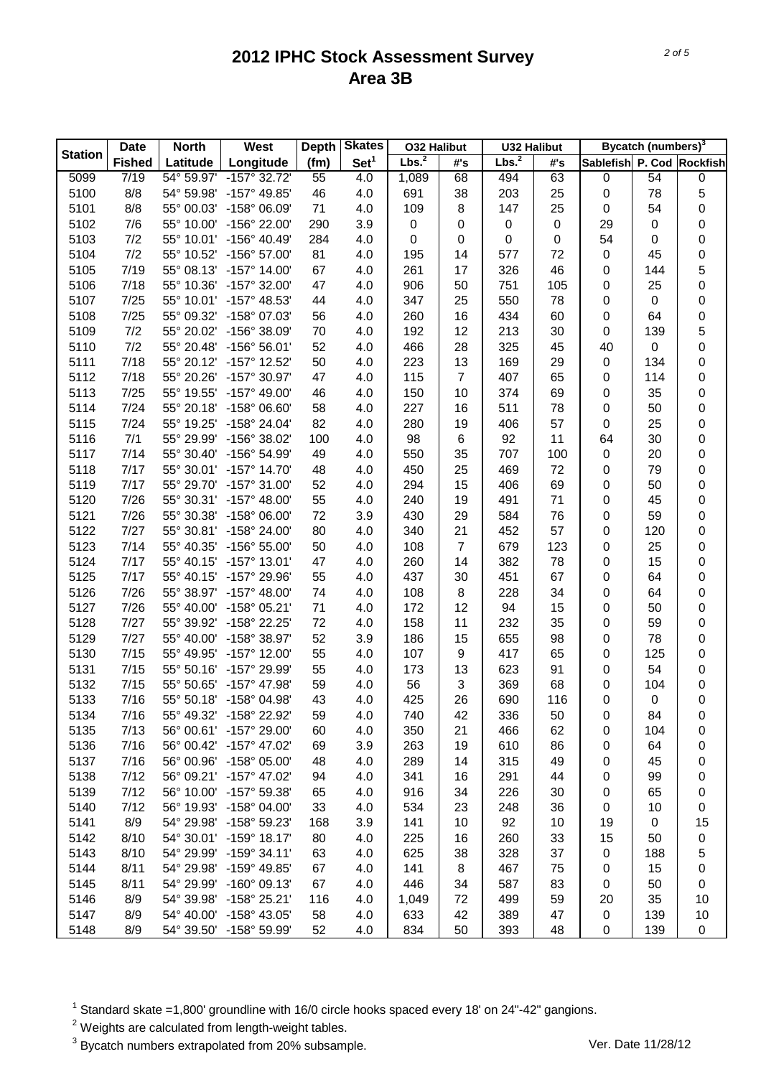| <b>Station</b> | <b>Date</b>   | <b>North</b> | West                  | <b>Depth</b> | <b>Skates</b>    | <b>032 Halibut</b> |                | <b>U32 Halibut</b> |                  |                           | Bycatch (numbers) <sup>3</sup> |             |
|----------------|---------------|--------------|-----------------------|--------------|------------------|--------------------|----------------|--------------------|------------------|---------------------------|--------------------------------|-------------|
|                | <b>Fished</b> | Latitude     | Longitude             | (fm)         | Set <sup>1</sup> | Lbs. <sup>2</sup>  | #'s            | Lbs. <sup>2</sup>  | #'s              | Sablefish P. Cod Rockfish |                                |             |
| 5099           | 7/19          | 54° 59.97'   | $-157° 32.72'$        | 55           | 4.0              | 1,089              | 68             | 494                | 63               | $\pmb{0}$                 | 54                             | 0           |
| 5100           | 8/8           | 54° 59.98'   | -157° 49.85'          | 46           | 4.0              | 691                | 38             | 203                | 25               | $\pmb{0}$                 | 78                             | 5           |
| 5101           | 8/8           | 55° 00.03'   | -158° 06.09'          | 71           | 4.0              | 109                | 8              | 147                | 25               | $\pmb{0}$                 | 54                             | 0           |
| 5102           | 7/6           | 55° 10.00'   | -156° 22.00'          | 290          | 3.9              | 0                  | 0              | 0                  | $\boldsymbol{0}$ | 29                        | 0                              | 0           |
| 5103           | 7/2           | 55° 10.01'   | -156° 40.49'          | 284          | 4.0              | 0                  | 0              | 0                  | 0                | 54                        | 0                              | 0           |
| 5104           | 7/2           | 55° 10.52'   | -156° 57.00'          | 81           | 4.0              | 195                | 14             | 577                | 72               | $\pmb{0}$                 | 45                             | 0           |
| 5105           | 7/19          | 55° 08.13'   | $-157^{\circ}$ 14.00' | 67           | 4.0              | 261                | 17             | 326                | 46               | 0                         | 144                            | 5           |
| 5106           | 7/18          | 55° 10.36'   | -157° 32.00'          | 47           | 4.0              | 906                | 50             | 751                | 105              | $\pmb{0}$                 | 25                             | 0           |
| 5107           | 7/25          | 55° 10.01'   | -157° 48.53'          | 44           | 4.0              | 347                | 25             | 550                | 78               | $\pmb{0}$                 | $\pmb{0}$                      | 0           |
| 5108           | 7/25          | 55° 09.32'   | -158° 07.03'          | 56           | 4.0              | 260                | 16             | 434                | 60               | $\pmb{0}$                 | 64                             | 0           |
| 5109           | 7/2           | 55° 20.02'   | -156° 38.09'          | 70           | 4.0              | 192                | 12             | 213                | 30               | $\pmb{0}$                 | 139                            | 5           |
| 5110           | 7/2           | 55° 20.48'   | $-156^{\circ} 56.01'$ | 52           | 4.0              | 466                | 28             | 325                | 45               | 40                        | 0                              | 0           |
| 5111           | 7/18          | 55° 20.12'   | $-157^{\circ}$ 12.52' | 50           | 4.0              | 223                | 13             | 169                | 29               | $\pmb{0}$                 | 134                            | 0           |
| 5112           | 7/18          | 55° 20.26'   | -157° 30.97'          | 47           | 4.0              | 115                | $\overline{7}$ | 407                | 65               | 0                         | 114                            | 0           |
| 5113           | 7/25          | 55° 19.55'   | -157° 49.00'          | 46           | 4.0              | 150                | 10             | 374                | 69               | 0                         | 35                             | 0           |
| 5114           | 7/24          | 55° 20.18'   | $-158^{\circ}$ 06.60' | 58           | 4.0              | 227                | 16             | 511                | 78               | 0                         | 50                             | 0           |
| 5115           | 7/24          | 55° 19.25'   | -158° 24.04'          | 82           | 4.0              | 280                | 19             | 406                | 57               | $\pmb{0}$                 | 25                             | 0           |
| 5116           | 7/1           | 55° 29.99'   | -156° 38.02'          | 100          | 4.0              | 98                 | 6              | 92                 | 11               | 64                        | 30                             | 0           |
| 5117           | 7/14          | 55° 30.40'   | -156° 54.99'          | 49           | 4.0              | 550                | 35             | 707                | 100              | $\pmb{0}$                 | 20                             | 0           |
| 5118           | 7/17          | 55° 30.01'   | $-157^{\circ}$ 14.70' | 48           | 4.0              | 450                | 25             | 469                | 72               | $\pmb{0}$                 | 79                             | 0           |
| 5119           | 7/17          | 55° 29.70'   | $-157^{\circ}$ 31.00' | 52           | 4.0              | 294                | 15             | 406                | 69               | $\pmb{0}$                 | 50                             | 0           |
| 5120           | 7/26          | 55° 30.31'   | $-157^{\circ}$ 48.00' | 55           | 4.0              | 240                | 19             | 491                | 71               | $\pmb{0}$                 | 45                             | 0           |
| 5121           | 7/26          | 55° 30.38'   | $-158^{\circ}$ 06.00' | 72           | 3.9              | 430                | 29             | 584                | 76               | 0                         | 59                             | 0           |
| 5122           | 7/27          | 55° 30.81'   | -158° 24.00'          | 80           | 4.0              | 340                | 21             | 452                | 57               | 0                         | 120                            | 0           |
| 5123           | 7/14          | 55° 40.35'   | $-156^{\circ} 55.00'$ | 50           | 4.0              | 108                | $\overline{7}$ | 679                | 123              | 0                         | 25                             | 0           |
| 5124           | 7/17          | 55° 40.15'   | $-157^{\circ}$ 13.01' | 47           | 4.0              | 260                | 14             | 382                | 78               | 0                         | 15                             | 0           |
| 5125           | 7/17          | 55° 40.15'   | -157° 29.96'          | 55           | 4.0              | 437                | 30             | 451                | 67               | 0                         | 64                             | 0           |
| 5126           | 7/26          | 55° 38.97'   | $-157^{\circ}$ 48.00' | 74           | 4.0              | 108                | 8              | 228                | 34               | 0                         | 64                             | 0           |
| 5127           | 7/26          | 55° 40.00'   | $-158^{\circ}$ 05.21' | 71           | 4.0              | 172                | 12             | 94                 | 15               | 0                         | 50                             | 0           |
| 5128           | 7/27          | 55° 39.92'   | -158° 22.25'          | 72           | 4.0              | 158                | 11             | 232                | 35               | 0                         | 59                             | 0           |
| 5129           | 7/27          | 55° 40.00'   | -158° 38.97'          | 52           | 3.9              | 186                | 15             | 655                | 98               | 0                         | 78                             | 0           |
| 5130           | 7/15          | 55° 49.95'   | $-157^{\circ}$ 12.00' | 55           | 4.0              | 107                | 9              | 417                | 65               | 0                         | 125                            | 0           |
| 5131           | 7/15          | 55° 50.16'   | -157° 29.99'          | 55           | 4.0              | 173                | 13             | 623                | 91               | 0                         | 54                             | 0           |
| 5132           | 7/15          | 55° 50.65'   | -157° 47.98'          | 59           | 4.0              | 56                 | 3              | 369                | 68               | 0                         | 104                            | 0           |
| 5133           | 7/16          | 55° 50.18'   | -158° 04.98'          | 43           | 4.0              | 425                | 26             | 690                | 116              | 0                         | 0                              | $\mathsf 0$ |
| 5134           | 7/16          | 55° 49.32'   | -158° 22.92'          | 59           | 4.0              | 740                | 42             | 336                | 50               | 0                         | 84                             | 0           |
| 5135           | 7/13          | 56° 00.61'   | -157° 29.00'          | 60           | 4.0              | 350                | 21             | 466                | 62               | 0                         | 104                            | 0           |
| 5136           | 7/16          | 56° 00.42'   | -157° 47.02'          | 69           | 3.9              | 263                | 19             | 610                | 86               | 0                         | 64                             | 0           |
| 5137           | 7/16          | 56° 00.96'   | $-158^{\circ}$ 05.00' | 48           | 4.0              | 289                | 14             | 315                | 49               | 0                         | 45                             | 0           |
| 5138           | 7/12          | 56° 09.21'   | $-157^{\circ}$ 47.02' | 94           | 4.0              | 341                | 16             | 291                | 44               | 0                         | 99                             | 0           |
| 5139           | 7/12          | 56° 10.00'   | -157° 59.38'          | 65           | 4.0              | 916                | 34             | 226                | 30               | 0                         | 65                             | 0           |
| 5140           | 7/12          | 56° 19.93'   | -158° 04.00'          | 33           | 4.0              | 534                | 23             | 248                | 36               | 0                         | 10                             | 0           |
| 5141           | 8/9           | 54° 29.98'   | -158° 59.23'          | 168          | 3.9              | 141                | 10             | 92                 | 10               | 19                        | 0                              | 15          |
| 5142           | 8/10          | 54° 30.01'   | $-159^{\circ}$ 18.17' | 80           | 4.0              | 225                | 16             | 260                | 33               | 15                        | 50                             | 0           |
| 5143           | 8/10          | 54° 29.99'   | $-159°34.11'$         | 63           | 4.0              | 625                | 38             | 328                | 37               | 0                         | 188                            | 5           |
| 5144           | 8/11          | 54° 29.98'   | -159° 49.85'          | 67           | 4.0              | 141                | 8              | 467                | 75               | 0                         | 15                             | 0           |
| 5145           | 8/11          | 54° 29.99'   | $-160^{\circ}$ 09.13' | 67           | 4.0              | 446                | 34             | 587                | 83               | 0                         | 50                             | 0           |
| 5146           | 8/9           | 54° 39.98'   | $-158^{\circ}$ 25.21' | 116          | 4.0              | 1,049              | 72             | 499                | 59               | 20                        | 35                             | 10          |
| 5147           | 8/9           | 54° 40.00'   | -158° 43.05'          | 58           | 4.0              | 633                | 42             | 389                | 47               | 0                         | 139                            | 10          |
| 5148           | 8/9           | 54° 39.50'   | -158° 59.99'          | 52           | 4.0              | 834                | 50             | 393                | 48               | $\pmb{0}$                 | 139                            | 0           |

 $1$  Standard skate =1,800' groundline with 16/0 circle hooks spaced every 18' on 24"-42" gangions.

 $2$  Weights are calculated from length-weight tables.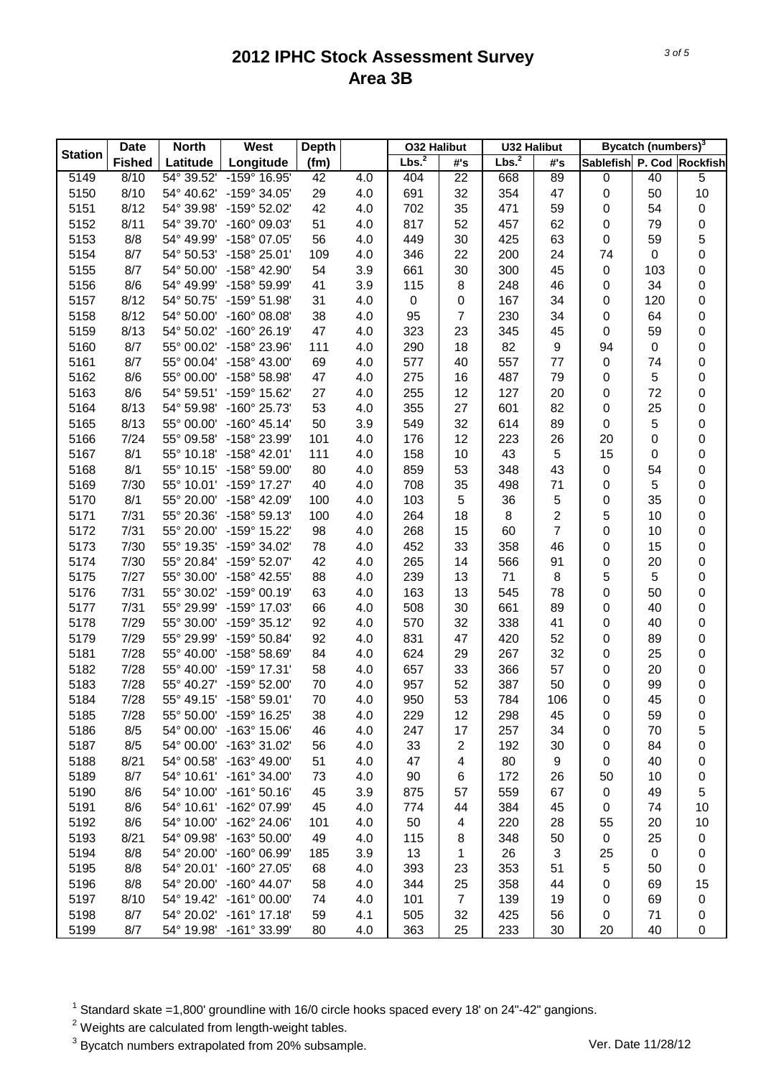| <b>Station</b> | <b>Date</b>   | <b>North</b>             | West                                           | <b>Depth</b> |     | <b>032 Halibut</b> |                  | <b>U32 Halibut</b> |                |                           | Bycatch (numbers) <sup>3</sup> |             |
|----------------|---------------|--------------------------|------------------------------------------------|--------------|-----|--------------------|------------------|--------------------|----------------|---------------------------|--------------------------------|-------------|
|                | <b>Fished</b> | Latitude                 | Longitude                                      | (fm)         |     | Lbs. <sup>2</sup>  | #'s              | Lbs. <sup>2</sup>  | #'s            | Sablefish P. Cod Rockfish |                                |             |
| 5149           | 8/10          | 54° 39.52'               | -159° 16.95'                                   | 42           | 4.0 | 404                | 22               | 668                | 89             | $\pmb{0}$                 | 40                             | 5           |
| 5150           | 8/10          | 54° 40.62'               | -159° 34.05'                                   | 29           | 4.0 | 691                | 32               | 354                | 47             | $\pmb{0}$                 | 50                             | 10          |
| 5151           | 8/12          | 54° 39.98'               | -159° 52.02'                                   | 42           | 4.0 | 702                | 35               | 471                | 59             | 0                         | 54                             | 0           |
| 5152           | 8/11          | 54° 39.70'               | -160° 09.03'                                   | 51           | 4.0 | 817                | 52               | 457                | 62             | $\pmb{0}$                 | 79                             | $\pmb{0}$   |
| 5153           | 8/8           | 54° 49.99'               | -158° 07.05'                                   | 56           | 4.0 | 449                | 30               | 425                | 63             | $\pmb{0}$                 | 59                             | 5           |
| 5154           | 8/7           | 54° 50.53'               | $-158^{\circ}$ 25.01'                          | 109          | 4.0 | 346                | 22               | 200                | 24             | 74                        | $\pmb{0}$                      | 0           |
| 5155           | 8/7           | 54° 50.00'               | -158° 42.90'                                   | 54           | 3.9 | 661                | 30               | 300                | 45             | $\pmb{0}$                 | 103                            | 0           |
| 5156           | 8/6           | 54° 49.99'               | -158° 59.99'                                   | 41           | 3.9 | 115                | 8                | 248                | 46             | 0                         | 34                             | 0           |
| 5157           | 8/12          | 54° 50.75'               | -159° 51.98'                                   | 31           | 4.0 | $\pmb{0}$          | $\boldsymbol{0}$ | 167                | 34             | $\pmb{0}$                 | 120                            | 0           |
| 5158           | 8/12          | 54° 50.00'               | $-160^{\circ}$ 08.08'                          | 38           | 4.0 | 95                 | $\overline{7}$   | 230                | 34             | $\pmb{0}$                 | 64                             | 0           |
| 5159           | 8/13          | 54° 50.02'               | $-160^{\circ}$ 26.19'                          | 47           | 4.0 | 323                | 23               | 345                | 45             | $\pmb{0}$                 | 59                             | 0           |
| 5160           | 8/7           | 55° 00.02'               | -158° 23.96'                                   | 111          | 4.0 | 290                | 18               | 82                 | 9              | 94                        | $\pmb{0}$                      | 0           |
| 5161           | 8/7           | 55° 00.04'               | -158° 43.00'                                   | 69           | 4.0 | 577                | 40               | 557                | 77             | $\pmb{0}$                 | 74                             | 0           |
| 5162           | 8/6           | 55° 00.00'               | -158° 58.98'                                   | 47           | 4.0 | 275                | 16               | 487                | 79             | 0                         | 5                              | 0           |
| 5163           | 8/6           | 54° 59.51'               | -159° 15.62'                                   | 27           | 4.0 | 255                | 12               | 127                | 20             | 0                         | 72                             | 0           |
| 5164           | 8/13          | 54° 59.98'               | -160° 25.73'                                   | 53           | 4.0 | 355                | 27               | 601                | 82             | $\pmb{0}$                 | 25                             | 0           |
| 5165           | 8/13          | 55° 00.00'               | $-160^{\circ}$ 45.14'                          | 50           | 3.9 | 549                | 32               | 614                | 89             | $\pmb{0}$                 | 5                              | 0           |
| 5166           | 7/24          | 55° 09.58'               | -158° 23.99'                                   | 101          | 4.0 | 176                | 12               | 223                | 26             | 20                        | 0                              | 0           |
| 5167           | 8/1           | 55° 10.18'               | -158° 42.01'                                   | 111          | 4.0 | 158                | 10               | 43                 | 5              | 15                        | 0                              | 0           |
| 5168           | 8/1           | 55° 10.15'               | -158° 59.00'                                   | 80           | 4.0 | 859                | 53               | 348                | 43             | $\pmb{0}$                 | 54                             | 0           |
| 5169           | 7/30          | 55° 10.01'               | $-159^{\circ}$ 17.27'                          | 40           | 4.0 | 708                | 35               | 498                | 71             | 0                         | 5                              | 0           |
| 5170           | 8/1           | 55° 20.00'               | -158° 42.09'                                   | 100          | 4.0 | 103                | 5                | 36                 | 5              | 0                         | 35                             | 0           |
| 5171           | 7/31          | 55° 20.36'               | -158° 59.13'                                   | 100          | 4.0 | 264                | 18               | 8                  | $\overline{c}$ | 5                         | 10                             | 0           |
| 5172           | 7/31          | 55° 20.00'               | -159° 15.22'                                   | 98           | 4.0 | 268                | 15               | 60                 | $\overline{7}$ | 0                         | 10                             | 0           |
| 5173           | 7/30          | 55° 19.35'               | -159° 34.02'                                   | 78           | 4.0 | 452                | 33               | 358                | 46             | 0                         | 15                             | 0           |
| 5174           | 7/30          | 55° 20.84'               | -159° 52.07'                                   | 42           | 4.0 | 265                | 14               | 566                | 91             | 0                         | 20                             | 0           |
| 5175           | 7/27          | 55° 30.00'               | -158° 42.55'                                   | 88           | 4.0 | 239                | 13               | 71                 | 8              | 5                         | 5                              | 0           |
| 5176           | 7/31          | 55° 30.02'               | $-159^{\circ}$ 00.19'                          | 63           | 4.0 | 163                | 13               | 545                | 78             | 0                         | 50                             | 0           |
| 5177           | 7/31          | 55° 29.99'               | -159° 17.03'                                   | 66           | 4.0 | 508                | 30               | 661                | 89             | 0                         | 40                             | 0           |
| 5178           | 7/29          | 55° 30.00'               | $-159°35.12'$                                  | 92           | 4.0 | 570                | 32               | 338                | 41             | 0                         | 40                             | 0           |
| 5179           | 7/29          | 55° 29.99'               | -159° 50.84'                                   | 92           | 4.0 | 831                | 47               | 420                | 52             | 0                         | 89                             | 0           |
| 5181           | 7/28          | 55° 40.00'               | $-158^{\circ} 58.69'$                          | 84           | 4.0 | 624                | 29               | 267                | 32             | 0                         | 25                             | 0           |
| 5182           | 7/28          | 55° 40.00'               | -159° 17.31'                                   | 58           | 4.0 | 657                | 33               | 366                | 57             | 0                         | 20                             | 0           |
| 5183           | 7/28          | 55° 40.27'               | -159° 52.00'                                   | 70           | 4.0 | 957                | 52               | 387                | 50             | 0                         | 99                             | $\pmb{0}$   |
| 5184           | 7/28          | 55° 49.15'               | $-158^{\circ} 59.01'$                          | 70           | 4.0 | 950                | 53               | 784                | 106            | $\pmb{0}$                 | 45                             | $\mathsf 0$ |
| 5185           | 7/28          | 55° 50.00'               | $-159^{\circ}$ 16.25'                          | 38           | 4.0 | 229                | 12               | 298                | 45             | 0                         | 59                             | 0           |
| 5186           | 8/5           | 54° 00.00'               | -163° 15.06'                                   | 46           | 4.0 | 247                | 17               | 257                | 34             | 0                         | 70                             | 5           |
| 5187           | 8/5           | 54° 00.00'               | -163° 31.02'                                   | 56           | 4.0 | 33                 | $\overline{c}$   | 192                | 30             | 0                         | 84                             | 0           |
| 5188           | 8/21          | 54° 00.58'               | $-163^{\circ}$ 49.00'                          | 51           | 4.0 | 47                 | 4                | 80                 | 9              | 0                         | 40                             | 0           |
| 5189           | 8/7           | 54° 10.61'               | $-161^{\circ}$ 34.00'                          | 73           | 4.0 | 90                 | 6                | 172                | 26             | 50                        | 10                             | 0           |
| 5190           | 8/6           | 54° 10.00'               | $-161^{\circ} 50.16'$                          | 45           | 3.9 | 875                | 57               | 559                | 67             | $\pmb{0}$                 | 49                             | 5           |
| 5191           | 8/6           | 54° 10.61'               | -162° 07.99'                                   | 45           | 4.0 | 774                | 44               | 384                | 45             | 0                         | 74                             | 10          |
| 5192           | 8/6           | 54° 10.00'               | $-162^{\circ}$ 24.06'                          | 101          | 4.0 | 50                 | 4                | 220                | 28             | 55                        | 20                             |             |
|                |               |                          |                                                |              |     |                    |                  |                    |                |                           |                                | 10          |
| 5193           | 8/21          | 54° 09.98'<br>54° 20.00' | $-163^{\circ} 50.00'$<br>$-160^{\circ}$ 06.99' | 49           | 4.0 | 115                | 8                | 348                | 50             | 0                         | 25                             | 0           |
| 5194           | 8/8           |                          |                                                | 185          | 3.9 | 13                 | 1                | 26                 | 3              | 25                        | 0                              | 0           |
| 5195           | 8/8           | 54° 20.01'               | -160° 27.05'                                   | 68           | 4.0 | 393                | 23               | 353                | 51             | 5                         | 50                             | 0           |
| 5196           | 8/8           | 54° 20.00'               | $-160^{\circ}$ 44.07'                          | 58           | 4.0 | 344                | 25               | 358                | 44             | 0                         | 69                             | 15          |
| 5197           | 8/10          | 54° 19.42'               | $-161^{\circ}$ 00.00'                          | 74           | 4.0 | 101                | $\overline{7}$   | 139                | 19             | 0                         | 69                             | 0           |
| 5198           | 8/7           | 54° 20.02'               | $-161^{\circ}$ 17.18'                          | 59           | 4.1 | 505                | 32               | 425                | 56             | 0                         | 71                             | 0           |
| 5199           | 8/7           | 54° 19.98'               | -161° 33.99'                                   | 80           | 4.0 | 363                | 25               | 233                | 30             | 20                        | 40                             | 0           |

 $1$  Standard skate =1,800' groundline with 16/0 circle hooks spaced every 18' on 24"-42" gangions.

 $2$  Weights are calculated from length-weight tables.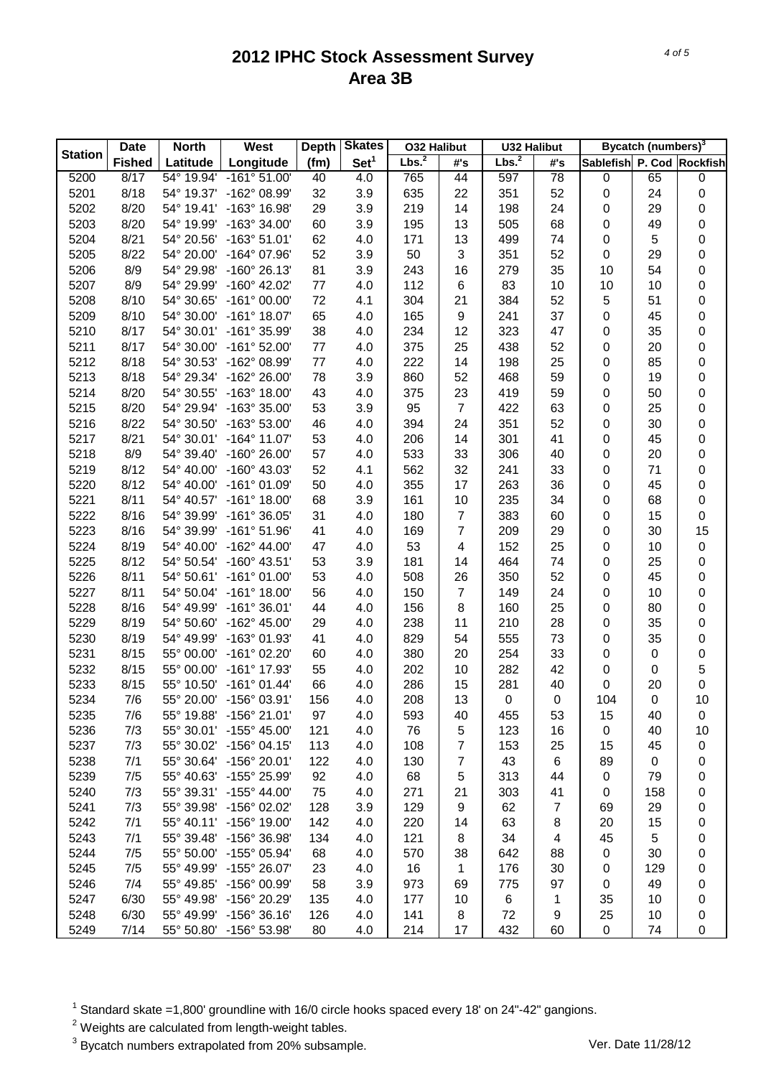|                | <b>Date</b>   | <b>North</b> | West                    | <b>Depth</b> | <b>Skates</b>    | <b>032 Halibut</b> |                  | <b>U32 Halibut</b> |           |                           | Bycatch (numbers) <sup>3</sup> |    |
|----------------|---------------|--------------|-------------------------|--------------|------------------|--------------------|------------------|--------------------|-----------|---------------------------|--------------------------------|----|
| <b>Station</b> | <b>Fished</b> | Latitude     | Longitude               | (fm)         | Set <sup>1</sup> | Lbs. <sup>2</sup>  | #'s              | Lbs. <sup>2</sup>  | #'s       | Sablefish P. Cod Rockfish |                                |    |
| 5200           | 8/17          | 54° 19.94'   | $-161°51.00'$           | 40           | 4.0              | 765                | 44               | 597                | 78        | $\pmb{0}$                 | 65                             | 0  |
| 5201           | 8/18          | 54° 19.37'   | -162° 08.99'            | 32           | 3.9              | 635                | 22               | 351                | 52        | $\pmb{0}$                 | 24                             | 0  |
| 5202           | 8/20          | 54° 19.41'   | $-163^{\circ}$ 16.98'   | 29           | 3.9              | 219                | 14               | 198                | 24        | 0                         | 29                             | 0  |
| 5203           | 8/20          | 54° 19.99'   | $-163^{\circ}$ 34.00'   | 60           | 3.9              | 195                | 13               | 505                | 68        | $\pmb{0}$                 | 49                             | 0  |
| 5204           | 8/21          | 54° 20.56'   | $-163^{\circ} 51.01'$   | 62           | 4.0              | 171                | 13               | 499                | 74        | $\pmb{0}$                 | 5                              | 0  |
| 5205           | 8/22          | 54° 20.00'   | $-164^{\circ}$ 07.96'   | 52           | 3.9              | 50                 | 3                | 351                | 52        | $\pmb{0}$                 | 29                             | 0  |
| 5206           | 8/9           | 54° 29.98'   | $-160^{\circ}$ 26.13'   | 81           | 3.9              | 243                | 16               | 279                | 35        | 10                        | 54                             | 0  |
| 5207           | 8/9           | 54° 29.99'   | $-160^{\circ}$ 42.02'   | 77           | 4.0              | 112                | 6                | 83                 | 10        | 10                        | 10                             | 0  |
| 5208           | 8/10          | 54° 30.65'   | $-161^{\circ}$ 00.00'   | 72           | 4.1              | 304                | 21               | 384                | 52        | $\sqrt{5}$                | 51                             | 0  |
| 5209           | 8/10          | 54° 30.00'   | $-161^{\circ}$ 18.07'   | 65           | 4.0              | 165                | $\boldsymbol{9}$ | 241                | 37        | $\pmb{0}$                 | 45                             | 0  |
| 5210           | 8/17          | 54° 30.01'   | -161° 35.99'            | 38           | 4.0              | 234                | 12               | 323                | 47        | $\pmb{0}$                 | 35                             | 0  |
| 5211           | 8/17          | 54° 30.00'   | $-161^{\circ}$ 52.00'   | 77           | 4.0              | 375                | 25               | 438                | 52        | 0                         | 20                             | 0  |
| 5212           | 8/18          | 54° 30.53'   | -162° 08.99'            | 77           | 4.0              | 222                | 14               | 198                | 25        | 0                         | 85                             | 0  |
| 5213           | 8/18          | 54° 29.34'   | $-162^{\circ} 26.00'$   | 78           | 3.9              | 860                | 52               | 468                | 59        | 0                         | 19                             | 0  |
| 5214           | 8/20          | 54° 30.55'   | $-163^{\circ}$ 18.00'   | 43           | 4.0              | 375                | 23               | 419                | 59        | 0                         | 50                             | 0  |
| 5215           | 8/20          | 54° 29.94'   | $-163^{\circ}35.00'$    | 53           | 3.9              | 95                 | $\overline{7}$   | 422                | 63        | 0                         | 25                             | 0  |
| 5216           | 8/22          | 54° 30.50'   | $-163^{\circ} 53.00'$   | 46           | 4.0              | 394                | 24               | 351                | 52        | $\pmb{0}$                 | 30                             | 0  |
| 5217           | 8/21          |              | 54° 30.01' -164° 11.07' | 53           | 4.0              | 206                | 14               | 301                | 41        | $\pmb{0}$                 | 45                             | 0  |
| 5218           | 8/9           | 54° 39.40'   | $-160^{\circ}$ 26.00'   | 57           | 4.0              | 533                | 33               | 306                | 40        | 0                         | 20                             | 0  |
| 5219           | 8/12          | 54° 40.00'   | $-160^{\circ}$ 43.03'   | 52           | 4.1              | 562                | 32               | 241                | 33        | 0                         | 71                             | 0  |
| 5220           | 8/12          | 54° 40.00'   | $-161^{\circ}$ 01.09'   | 50           | 4.0              | 355                | 17               | 263                | 36        | 0                         | 45                             | 0  |
| 5221           | 8/11          | 54° 40.57'   | $-161^{\circ}$ 18.00'   | 68           | 3.9              | 161                | 10               | 235                | 34        | 0                         | 68                             | 0  |
| 5222           | 8/16          | 54° 39.99'   | $-161^{\circ}$ 36.05'   | 31           | 4.0              | 180                | $\overline{7}$   | 383                | 60        | $\pmb{0}$                 | 15                             | 0  |
| 5223           | 8/16          | 54° 39.99'   | $-161^{\circ} 51.96'$   | 41           | 4.0              | 169                | $\overline{7}$   | 209                | 29        | 0                         | 30                             | 15 |
| 5224           | 8/19          | 54° 40.00'   | $-162^{\circ}$ 44.00'   | 47           | 4.0              | 53                 | 4                | 152                | 25        | 0                         | 10                             | 0  |
| 5225           | 8/12          | 54° 50.54'   | $-160^{\circ}$ 43.51'   | 53           | 3.9              | 181                | 14               | 464                | 74        | 0                         | 25                             | 0  |
| 5226           | 8/11          | 54° 50.61'   | $-161^{\circ}$ 01.00'   | 53           | 4.0              | 508                | 26               | 350                | 52        | 0                         | 45                             | 0  |
| 5227           | 8/11          | 54° 50.04'   | $-161^{\circ}$ 18.00'   | 56           | 4.0              | 150                | $\overline{7}$   | 149                | 24        | 0                         | 10                             | 0  |
| 5228           | 8/16          | 54° 49.99'   | $-161^{\circ}$ 36.01'   | 44           | 4.0              | 156                | 8                | 160                | 25        | 0                         | 80                             | 0  |
| 5229           | 8/19          | 54° 50.60'   | $-162^{\circ}$ 45.00'   | 29           | 4.0              | 238                | 11               | 210                | 28        | 0                         | 35                             | 0  |
| 5230           | 8/19          | 54° 49.99'   | $-163^{\circ}$ 01.93'   | 41           | 4.0              | 829                | 54               | 555                | 73        | 0                         | 35                             |    |
| 5231           | 8/15          | 55° 00.00'   | $-161^{\circ}$ 02.20'   | 60           | 4.0              | 380                | 20               | 254                | 33        | 0                         |                                | 0  |
| 5232           |               | 55° 00.00'   | -161° 17.93'            | 55           |                  |                    | 10               |                    |           |                           | 0                              | 0  |
|                | 8/15          |              |                         |              | 4.0              | 202                |                  | 282                | 42        | 0                         | 0                              | 5  |
| 5233           | 8/15          | 55° 10.50'   | $-161°01.44'$           | 66           | 4.0              | 286                | 15<br>13         | 281                | 40        | 0                         | 20                             | 0  |
| 5234           | 7/6           | 55° 20.00'   | $-156^{\circ}$ 03.91'   | 156          | 4.0              | 208                |                  | $\pmb{0}$          | $\pmb{0}$ | 104                       | $\pmb{0}$                      | 10 |
| 5235           | 7/6           | 55° 19.88'   | $-156^{\circ}$ 21.01'   | 97           | 4.0              | 593                | 40               | 455                | 53        | 15                        | 40                             | 0  |
| 5236           | 7/3           | 55° 30.01'   | $-155^{\circ}$ 45.00'   | 121          | 4.0              | 76                 | 5                | 123                | 16        | $\pmb{0}$                 | 40                             | 10 |
| 5237           | 7/3           | 55° 30.02'   | $-156^{\circ}$ 04.15'   | 113          | 4.0              | 108                | 7                | 153                | 25        | 15                        | 45                             | 0  |
| 5238           | 7/1           |              | 55° 30.64' -156° 20.01' | 122          | 4.0              | 130                | 7                | 43                 | 6         | 89                        | 0                              | 0  |
| 5239           | 7/5           | 55° 40.63'   | -155° 25.99'            | 92           | 4.0              | 68                 | 5                | 313                | 44        | 0                         | 79                             | 0  |
| 5240           | 7/3           |              | 55° 39.31' -155° 44.00' | 75           | 4.0              | 271                | 21               | 303                | 41        | 0                         | 158                            | 0  |
| 5241           | 7/3           | 55° 39.98'   | $-156^{\circ}$ 02.02'   | 128          | 3.9              | 129                | 9                | 62                 | 7         | 69                        | 29                             | 0  |
| 5242           | 7/1           |              | 55° 40.11' -156° 19.00' | 142          | 4.0              | 220                | 14               | 63                 | 8         | 20                        | 15                             | 0  |
| 5243           | 7/1           | 55° 39.48'   | $-156^{\circ}$ 36.98'   | 134          | 4.0              | 121                | 8                | 34                 | 4         | 45                        | 5                              | 0  |
| 5244           | 7/5           | 55° 50.00'   | $-155^{\circ}$ 05.94'   | 68           | 4.0              | 570                | 38               | 642                | 88        | 0                         | 30                             | 0  |
| 5245           | 7/5           | 55° 49.99'   | $-155^{\circ}$ 26.07'   | 23           | 4.0              | 16                 | 1                | 176                | 30        | 0                         | 129                            | 0  |
| 5246           | 7/4           | 55° 49.85'   | -156° 00.99'            | 58           | 3.9              | 973                | 69               | 775                | 97        | 0                         | 49                             | 0  |
| 5247           | 6/30          | 55° 49.98'   | -156° 20.29'            | 135          | 4.0              | 177                | 10               | 6                  | 1         | 35                        | 10                             | 0  |
| 5248           | 6/30          | 55° 49.99'   | $-156^{\circ}$ 36.16'   | 126          | 4.0              | 141                | 8                | 72                 | 9         | 25                        | 10                             | 0  |
| 5249           | 7/14          | 55° 50.80'   | -156° 53.98'            | 80           | 4.0              | 214                | 17               | 432                | 60        | $\mathbf 0$               | 74                             | 0  |

 $1$  Standard skate =1,800' groundline with 16/0 circle hooks spaced every 18' on 24"-42" gangions.

 $2$  Weights are calculated from length-weight tables.